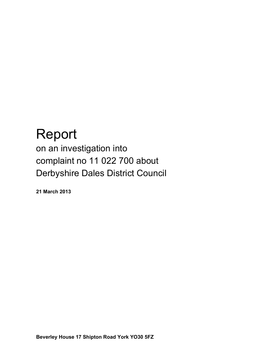# Report

on an investigation into complaint no 11 022 700 about Derbyshire Dales District Council

**21 March 2013**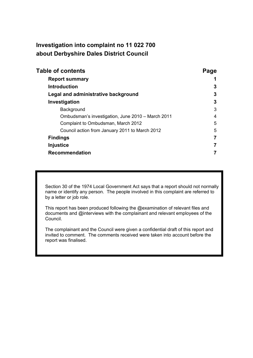# **Investigation into complaint no 11 022 700 about Derbyshire Dales District Council**

| <b>Table of contents</b>                          | Page           |
|---------------------------------------------------|----------------|
| <b>Report summary</b>                             |                |
| <b>Introduction</b>                               | 3              |
| Legal and administrative background               | 3              |
| Investigation                                     | 3              |
| Background                                        | 3              |
| Ombudsman's investigation, June 2010 - March 2011 | 4              |
| Complaint to Ombudsman, March 2012                | 5              |
| Council action from January 2011 to March 2012    | 5              |
| <b>Findings</b>                                   | $\overline{7}$ |
| <b>Injustice</b>                                  | 7              |
| <b>Recommendation</b>                             |                |

Section 30 of the 1974 Local Government Act says that a report should not normally name or identify any person. The people involved in this complaint are referred to by a letter or job role.

This report has been produced following the @examination of relevant files and documents and @interviews with the complainant and relevant employees of the Council.

The complainant and the Council were given a confidential draft of this report and invited to comment. The comments received were taken into account before the report was finalised.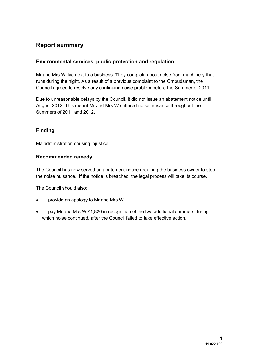## **Report summary**

#### **Environmental services, public protection and regulation**

Mr and Mrs W live next to a business. They complain about noise from machinery that runs during the night. As a result of a previous complaint to the Ombudsman, the Council agreed to resolve any continuing noise problem before the Summer of 2011.

Due to unreasonable delays by the Council, it did not issue an abatement notice until August 2012. This meant Mr and Mrs W suffered noise nuisance throughout the Summers of 2011 and 2012.

### **Finding**

Maladministration causing injustice.

#### **Recommended remedy**

The Council has now served an abatement notice requiring the business owner to stop the noise nuisance. If the notice is breached, the legal process will take its course.

The Council should also:

- provide an apology to Mr and Mrs W;
- pay Mr and Mrs W £1,820 in recognition of the two additional summers during which noise continued, after the Council failed to take effective action.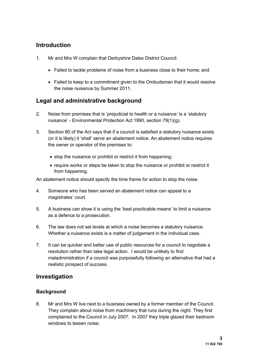## **Introduction**

- 1. Mr and Mrs W complain that Derbyshire Dales District Council:
	- Failed to tackle problems of noise from a business close to their home; and
	- Failed to keep to a commitment given to the Ombudsman that it would resolve the noise nuisance by Summer 2011.

# **Legal and administrative background**

- 2. Noise from premises that is 'prejudicial to health or a nuisance*'* is a 'statutory nuisance' - Environmental Protection Act 1990, section 79(1)(g).
- 3. Section 80 of the Act says that if a council is satisfied a statutory nuisance exists (or it is likely) it 'shall' serve an abatement notice. An abatement notice requires the owner or operator of the premises to:
	- stop the nuisance or prohibit or restrict it from happening;
	- require works or steps be taken to stop the nuisance or prohibit or restrict it from happening.

An abatement notice should specify the time frame for action to stop the noise.

- 4. Someone who has been served an abatement notice can appeal to a magistrates' court.
- 5. A business can show it is using the 'best practicable means' to limit a nuisance as a defence to a prosecution.
- 6. The law does not set levels at which a noise becomes a statutory nuisance. Whether a nuisance exists is a matter of judgement in the individual case.
- 7. It can be quicker and better use of public resources for a council to negotiate a resolution rather than take legal action. I would be unlikely to find maladministration if a council was purposefully following an alternative that had a realistic prospect of success.

## **Investigation**

## **Background**

8. Mr and Mrs W live next to a business owned by a former member of the Council. They complain about noise from machinery that runs during the night. They first complained to the Council in July 2007. In 2007 they triple glazed their bedroom windows to lessen noise.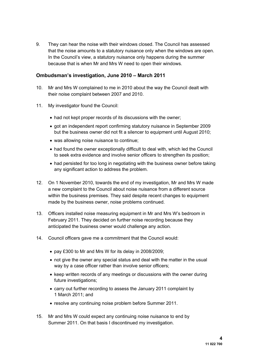9. They can hear the noise with their windows closed. The Council has assessed that the noise amounts to a statutory nuisance only when the windows are open. In the Council's view, a statutory nuisance only happens during the summer because that is when Mr and Mrs W need to open their windows.

#### **Ombudsman's investigation, June 2010 – March 2011**

- 10. Mr and Mrs W complained to me in 2010 about the way the Council dealt with their noise complaint between 2007 and 2010.
- 11. My investigator found the Council:
	- had not kept proper records of its discussions with the owner;
	- got an independent report confirming statutory nuisance in September 2009 but the business owner did not fit a silencer to equipment until August 2010;
	- was allowing noise nuisance to continue;
	- had found the owner exceptionally difficult to deal with, which led the Council to seek extra evidence and involve senior officers to strengthen its position;
	- had persisted for too long in negotiating with the business owner before taking any significant action to address the problem.
- 12. On 1 November 2010, towards the end of my investigation, Mr and Mrs W made a new complaint to the Council about noise nuisance from a different source within the business premises. They said despite recent changes to equipment made by the business owner, noise problems continued.
- 13. Officers installed noise measuring equipment in Mr and Mrs W's bedroom in February 2011. They decided on further noise recording because they anticipated the business owner would challenge any action.
- 14. Council officers gave me a commitment that the Council would:
	- pay £300 to Mr and Mrs W for its delay in 2008/2009;
	- not give the owner any special status and deal with the matter in the usual way by a case officer rather than involve senior officers;
	- keep written records of any meetings or discussions with the owner during future investigations;
	- carry out further recording to assess the January 2011 complaint by 1 March 2011; and
	- resolve any continuing noise problem before Summer 2011.
- 15. Mr and Mrs W could expect any continuing noise nuisance to end by Summer 2011. On that basis I discontinued my investigation.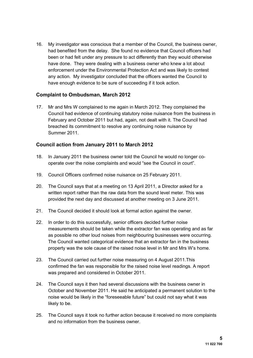16. My investigator was conscious that a member of the Council, the business owner, had benefited from the delay. She found no evidence that Council officers had been or had felt under any pressure to act differently than they would otherwise have done. They were dealing with a business owner who knew a lot about enforcement under the Environmental Protection Act and was likely to contest any action. My investigator concluded that the officers wanted the Council to have enough evidence to be sure of succeeding if it took action.

#### **Complaint to Ombudsman, March 2012**

17. Mr and Mrs W complained to me again in March 2012. They complained the Council had evidence of continuing statutory noise nuisance from the business in February and October 2011 but had, again, not dealt with it. The Council had breached its commitment to resolve any continuing noise nuisance by Summer 2011.

#### **Council action from January 2011 to March 2012**

- 18. In January 2011 the business owner told the Council he would no longer cooperate over the noise complaints and would "see the Council in court".
- 19. Council Officers confirmed noise nuisance on 25 February 2011.
- 20. The Council says that at a meeting on 13 April 2011, a Director asked for a written report rather than the raw data from the sound level meter. This was provided the next day and discussed at another meeting on 3 June 2011.
- 21. The Council decided it should look at formal action against the owner.
- 22. In order to do this successfully, senior officers decided further noise measurements should be taken while the extractor fan was operating and as far as possible no other loud noises from neighbouring businesses were occurring. The Council wanted categorical evidence that an extractor fan in the business property was the sole cause of the raised noise level in Mr and Mrs W's home.
- 23. The Council carried out further noise measuring on 4 August 2011.This confirmed the fan was responsible for the raised noise level readings. A report was prepared and considered in October 2011.
- 24. The Council says it then had several discussions with the business owner in October and November 2011. He said he anticipated a permanent solution to the noise would be likely in the "foreseeable future" but could not say what it was likely to be.
- 25. The Council says it took no further action because it received no more complaints and no information from the business owner.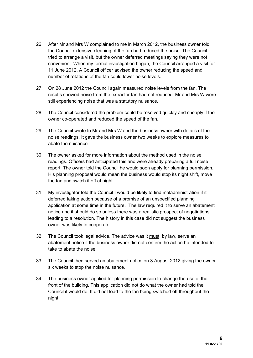- 26. After Mr and Mrs W complained to me in March 2012, the business owner told the Council extensive cleaning of the fan had reduced the noise. The Council tried to arrange a visit, but the owner deferred meetings saying they were not convenient. When my formal investigation began, the Council arranged a visit for 11 June 2012. A Council officer advised the owner reducing the speed and number of rotations of the fan could lower noise levels.
- 27. On 28 June 2012 the Council again measured noise levels from the fan. The results showed noise from the extractor fan had not reduced. Mr and Mrs W were still experiencing noise that was a statutory nuisance.
- 28. The Council considered the problem could be resolved quickly and cheaply if the owner co-operated and reduced the speed of the fan.
- 29. The Council wrote to Mr and Mrs W and the business owner with details of the noise readings. It gave the business owner two weeks to explore measures to abate the nuisance.
- 30. The owner asked for more information about the method used in the noise readings. Officers had anticipated this and were already preparing a full noise report. The owner told the Council he would soon apply for planning permission. His planning proposal would mean the business would stop its night shift, move the fan and switch it off at night.
- 31. My investigator told the Council I would be likely to find maladministration if it deferred taking action because of a promise of an unspecified planning application at some time in the future. The law required it to serve an abatement notice and it should do so unless there was a realistic prospect of negotiations leading to a resolution. The history in this case did not suggest the business owner was likely to cooperate.
- 32. The Council took legal advice. The advice was it must, by law, serve an abatement notice if the business owner did not confirm the action he intended to take to abate the noise.
- 33. The Council then served an abatement notice on 3 August 2012 giving the owner six weeks to stop the noise nuisance.
- 34. The business owner applied for planning permission to change the use of the front of the building. This application did not do what the owner had told the Council it would do. It did not lead to the fan being switched off throughout the night.